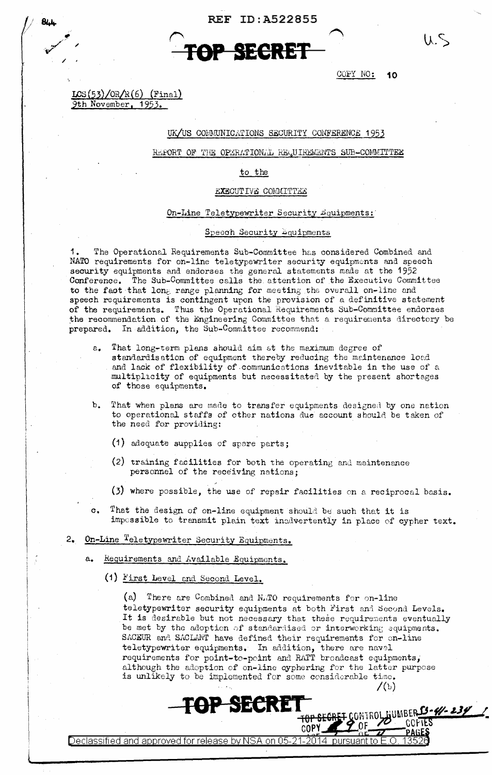

COPY NO: 10

 $CS(53)/OR/R(6)$  (Final) 9th November, 1953.

' */*  / /

*v* 

/

## UK/US COMMUNICATIONS SECURITY CONFERENCE 1953

REPORT OF THE OPERATIONAL REQUIREMENTS SUB-COMMITTEE

#### to the

#### EXECUTIVE COMMITTEE

#### On-Line Teletypewriter Security #quipments:

#### Speech Security bquipments

The Operational Requirements Sub-Committee has considered Combined and NATO requirements for on-line teletypewriter security equipments and speech security equipments and endorses the general statements made at the 1952 Conference. The Sub-Committee calls the attention of the Executive Committee to the faot that long range planning for meeting the overall on-line and speech requirements is contingent upon the provision of a definitive statement of the requirements. Thus the Operational Requirements Sub-Committee endorses the recommendation of the Engineering Committee that a requirements directory be prepared. In addition, the Sub-Committee recommend:

- That long-term plans should aim at the maximum degree of standardisation of equipment thereby reducing the maintenance load and lack of flexibility of .comnunications inevitable in the use of a multiplicity of equipments but necessitated by the present shortages of those equipments.
- b. That when plans are made to transfer equipments designed by one nation to operational staffs of other nations due account should be taken of the need for providing:
	- (1) adequate supplies of spnre parts;
	- (2) training facilities for both the operating and maintenance personnel of the receiving nations;
	- $(3)$  where possible, the use of repair facilities on a reciprocal basis.
- o. That the design of on-line equipment should be such that it is impcssible to transmit plain text inadvertently in place of cypher text.
- 2. On-Line Teletypewriter Security Equipments.
	- a. Requirements and Available Equipments.
		- (1) First Level and Second Level.

(a) There are Combined and N.TO requirements for on-line teletypewriter security equipments at both First and Second Levels. It is desirable but not necessary that these requirements eventually be met by the adoption of standardised or interworking equipments. SACEUR and SACLANT have defined their requirements for on-line teletypewriter equipments. In addition, there are naval requirements for point-to-point and RATT broadcast equipments,; although the adoption of on-lino cyphering for the latter purpose is unlikely to be implemented for some considerable time.

COPY

 $\sqrt{2}$ 

**SECRET TOP SEGRET CONTROLAUMBER 13-4/-234** 

Declassified and approved for release by NSA on 05-21-2014 pursuant to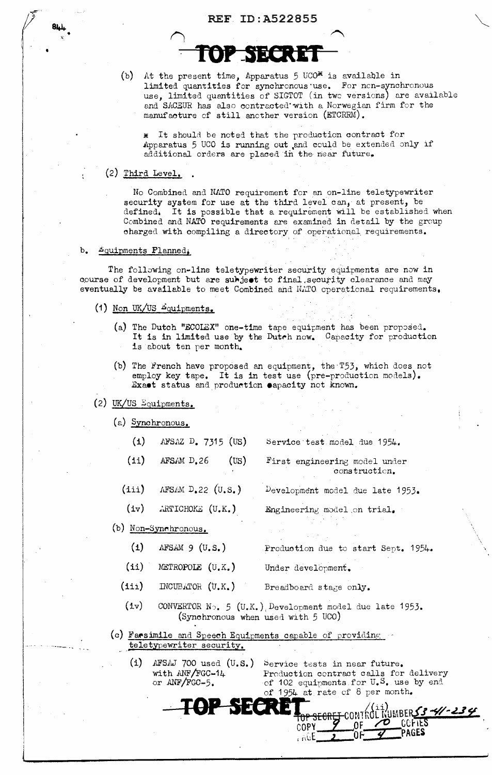(b) At the present time, Apparatus  $5 \text{ UCO}^*$  is available in limited quantities for synchronous·use. For ncn-synchronous use, limited quantities of SIGTOT (in twc versions) are available and SACEUR has also contracted with a Norwegian firm for the manufacture cf still another version (ETCRRM).

\* It should be noted that the production contract for Apparatus 5 UCO is running out and cculd be extended only if additional orders are placed in the near future.

#### (2) Third Level,

No Combined and NATO requirement for an on-line teletypewriter security system for use at the third level can, at present, be defined, It is possible that a requirement Will be established when Combined and NATO requirements are examined in detail by the group charged with compiling a directory of operational requirements.

#### b. Equipments Planned,

The following on-line teletypewriter security equipments are now in course of development but are subject to final security clearance and may eventually be available to meet Combined and NATO operational requirements,

- (1) Non UK/US  $E_{\text{quipments}}$ ,
	- (a) The Dutch "ECOLEX" one-time tape equipment has been proposed. It is in limited use by the Dutrh now, Capacity for production is about ten per month.
	- (b) The French have proposed an equipment, the *T53*, which does not employ key tape, It is in test use (pre-production models). Exact status and production eapacity not known.

## $(2)$  UK/US  $\Sigma$ quipments.

(i)

(ii)

(iii)

 $(iv)$ 

- (a) Synchronous.
	- AFSAZ  $D_{\bullet}$  7315 (US) Service test model due 1954.
		- First engineering model under constructicn.

Development model due late 1953.

Engineering model on trial.

(b) Non-Synchronous.

··---- ¥ ...

- (i)  $AFSAM 9 (U.S.)$ Production due to start Sept. 1954.
- (ii) METROPOLE (U. K. ) Under development.
- (iii)  $INCUBATOR (U,K_{\bullet})$ Breadboard stage only.
	- (iv) CONVERTOR N<sub>2</sub>, 5 (U.K.), Development model due late 1953. (Synchronous when used. with 5 UCO)
- (c) Facsimile and Speech Equipments capable of providing  $\sim$ teletypewriter security.

**·TOP** 

with ANF/FGC-14 or  $\text{ANF/FGC-5.}$ 

 $AFSAM D.26$  (US)

 $AFSAM D.22 (U.S.)$ 

 $ARTICHOKE$  (U.K.)

(i) AFSAJ 700 used  $(U, S$ .) Service tests in near future. Production contract calls for delivery of 102 equipments for U.S. use by end<br>of 1954 at rate of 8 per month.

ΩF

111

<del>OP SECREJ</del>

CONTROL NUMBERS3-41-234

COFTES

PAGES

'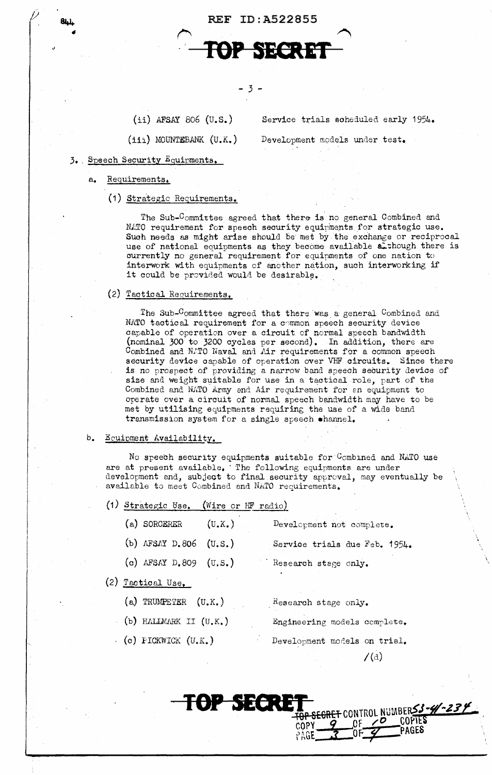

(ii) AFSAY 806 (u.s.)

(iii) MOUNTEBANK (U.K.)

Service trials soheduled early 1954.

Development models under test.

- 3 •. Speech Security Equipments.
	- a. Requirements.
		- (1) Strategic Reguirements.

The Sub-Committee agreed that there is no general Combined and NATO requirement for speech security equipments for strategic use. Such needs as might arise should be met by the exchange or reciprocal use of national equipments as they become available a though there is currently no general requirement for equipments of one nation to interwork with equipments of another nation, such interworking if it could be provided would be desirable.

### (2) Tactical Requirements.

The Sub-Committee agreed that there was a general Combined and NATO tactical requirement for a common speech security device capable of operation over a circuit of normal speech bandwidth (nominal 300 to 3200 cycles per second), In addition, there are Combined and  $M.TO$  Naval and  $Air$  requirements for a common speech security device oapable of operation over VHF circuits. Since there is no prospect of providing a narrow band speech security device of size and weight suitable for use in a tactical role, part of the Combined and NATO Army and Air requirement for an equipment to operate over a circuit of normal speech bandwidth may have to be met by utilising equipments requiring the use of' a wide band transmission system for a single speech •harmel.

#### b. Equipment Availability.

No speech security equipments suitable for Ccmbined and NATO use are at present available. The following equipments are under development and, subject to final security approval, may eventually be available to meet Combined and NATO requirements.

(1) Strategic Use. (Wire or HF radio)

| $(a)$ SORCERER    | (U, X, )                  | Development not complete.     |  |  |
|-------------------|---------------------------|-------------------------------|--|--|
|                   | (b) AFSAY D.806 $(U, S.)$ | Service trials due Feb. 1954. |  |  |
|                   | (c) AFSAY $D.809$ (U.S.)  | Research stage only.          |  |  |
| (2) Tactical Use. |                           |                               |  |  |

 $\mathcal{L}$ 

-<br><del>SECRET</del> CONTROL NUMBERS3-4-234

**COPTES** PAGES]

 $70$ 

(a) TRUMPETER  $(U,K.)$ (b) *HlJ.J.NlliR.K* II (U. K.)  $\cdot$  (c) PICKWICK (U.K.) Research stage only. Engineering models complete. Development models on trial.  $/$ (d)

TOP SECRE

I I  $\left| \cdot \right|$ 

I

I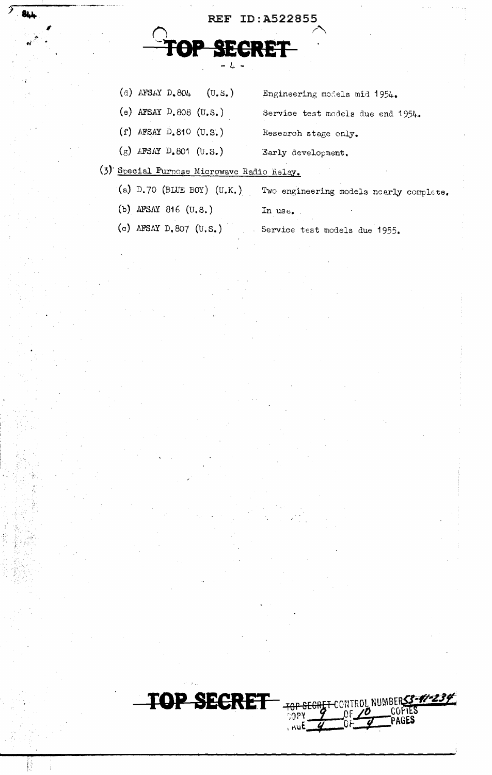

(d) AFSAY D. 804 (U.S.) Engineering models mid 1954.

(e) AFSAY  $D.808$  (U.S.) Service test models due end 1954.

- (f) AFSAY D.810  $(U.S.)$  Research stage only.
- (g) *LFSAY* D.801 (U.S.) Early development.

# (3)· Special Purpose Microwave Radio Helay.

- (a) D.70 (BLUE BOY) (U.K.) Two engineering models nearly complete.
- (b) AFSAY 816 (U.S.)

In use.

(c) AFSAY D.807 (U.S.) Service test models due 1955.



 $CSPY = \frac{96}{96} = \frac{60}{96}$ 

 $\frac{10^{p}}{p}$  of  $\frac{p}{p}$  PAGES

1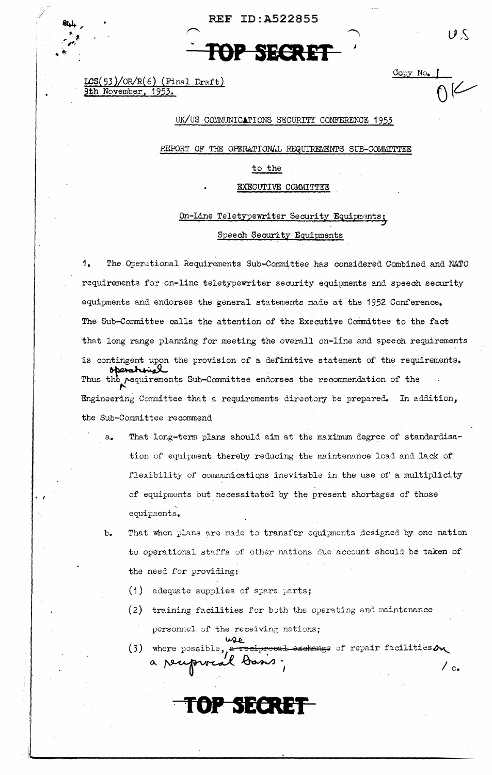

 $LCS(53)/OR/R(6)$  (Final Draft) 9th November, 1953.

 $\cdot$   $\cdot$ 

## UK/US COMMUNICATIONS SECURITY CONFERENCE 1953

*j* 

REPORT OF THE OPERATIONAL REQUIREMENTS SUB-COMMITTEE

to the

EXECUTIVE COMMITTEE

On-Line Teletypewriter Security Equipments: Speech Security Equipments

1. The Operdtional Requirements Sub-Committee has considered Combined and NATO requirements for on-line teletypewriter security equipments and speeoh security equipments and endorses the general statements made at the 1952 Conference. The Sub-Committee calls the attention of the Executive Committee to the fact that long range planning for meeting the overall on-line and speech requirements is contingent upon the provision of a definitive statement of the requirements. Thus the requirements Sub-Committee endorses the I' recommendation of the Engineering Committee that a requirements directory be prepared. In addition, the Sub-Committee recommend

- a. That long-term plans should aim at the maximum degree of standardisation of equipment thereby reducing the maintenance load and lack of flexibility of communications inevitable in the use of a multiplicity of equipments but necessitated by the present shortages of those ' equipments.
- b. That when plans are made to transfer equipments designed by one nation to operational staffs of other nations due account should be taken of the need for providing:
	- $(1)$  adequate supplies of spare parts;
	- (2) training facilities for both the operating and maintenance personnel of the receiving nations;<br> $\omega_{\text{L}}$

**TOP· SECRET** 

(3) where possible, where ~)ossible, .a- reei:JFOE3Q:l iixehalY!§~ Qf rel:Jair facilities~ a receprocal basis;  $\int_{c_*}$ 

V S

L<br>NK

Copy No. f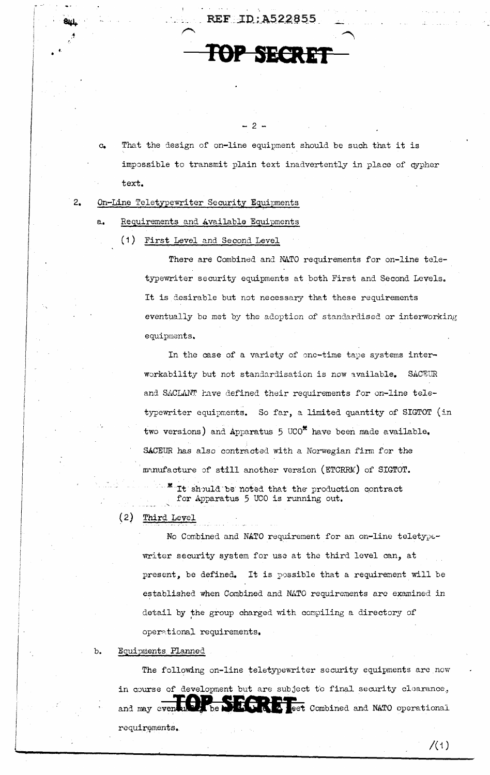c. That the design of on-line equipment should be such that it is impossible to transmit plain text inadvertently in place of cypher text.

 $2 -$ 

REF:1D:A522855

TOP SECRET

#### 2. On-Line Teletypewriter Security Equipments

.. •

 $\boldsymbol{\tau}$ 

a. Requirements and .wailable Equipments

(1) First Level and Second Level

There are Combined and NATO requirements for on-line teletypewriter security equipments at both First and Second Levels. It is desirable but not necessary that these requirements eventually be met by the adoption of standardised or interworking equipments.

In the case of a variety of one-time tape systems interworkability but not standardisation is now available. SACEUR and SACLANT have defined their requirements for on-line teletypewriter equipments. So far, a limited quantity of SIGTOT (in two versions) and Apparatus  $5 \text{ UCO}^{\text{st}}$  have been made available. SACEUR has also contracted with a Norwegian firm for the m~nufacture of still another version (ETCRRM) of SIGTOT. It should be noted that the production contract for Apparatus 5 UCO is running out.

( 2) Third Level

No Combined and NATO requirement for an on-line teletypewriter security system for use at the third level can, at present, be defined. It is possible that a requirement will be established when Combined and NATO requirements are examined in detail by the group charged with compiling a directory of oper~tional requirements,

## b. Equipments Planned

The following on-line teletypewriter security equipments are now in course of development but are subject to final security clearance, and may even with the **Simulation** of the Combined and NATO operational requirements.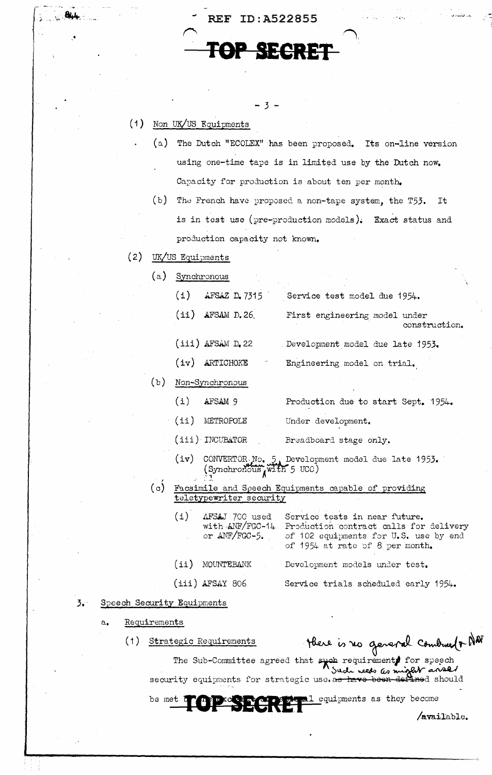

 $-3 -$ 

## ( 1) Non UK/US Equipments

r ,- ,:~ 111,i,.

 $\frac{1}{2}$  - let  $\frac{1}{2}$ 

- (a) The Dutch "ECOLEX" has been proposed. Its on-line version using one-time tape is in limited use by the Dutch now. Capacity for production is about ten per month.
- (b) The French have proposed a non-tape system, the T53. It is in test use ( $pre-production$  models). Exact status and production capacity not knovm,
- (2) UK/US Equipments
	- (a) Synchronous

| AFSAZ D. 7315<br>(i)  | Service test model due 1954.                   |
|-----------------------|------------------------------------------------|
| $(ii)$ AFSAM D.26     | First engineering model under<br>construction. |
| $(iii)$ AFSAM $De$ 22 | Development model due late 1953.               |

- (iv) ARTICHOKE Engineering model on trial.
- (b) Non-Synchronous
	- (i) AFSAM 9 Production due to start Sept. 1954.
	- (ii) Under development.
	- (iii) INCUBATOR Breadboard stage only.
	- (iv) CONVERTOR.No. 5, Development model due late 1953. convERTOR<sub>2</sub>No. 5, Develop:<br>(Synchronous<sub>A</sub> with 5 uco)
- $(c)$ Facsimile and Speech Equipments capable of providing teletypewriter security

| (i) | AFSAJ 700 used<br>or $\triangle$ NF/FGC-5. | Service tests in near future.<br>with ANF/FGC-14 Production contract calls for delivery<br>of 102 equipments for U.S. use by end<br>of 1954 at rate of 8 per month. |
|-----|--------------------------------------------|---------------------------------------------------------------------------------------------------------------------------------------------------------------------|
|     | $(i)$ MOUNTEBANK                           | Development models under test.                                                                                                                                      |
|     | $(iii)$ AFSAY 806                          | Service trials scheduled early 1954.                                                                                                                                |

#### 3. Speech Security Equipments

- a. Requirements
	- (1) Strategic Requirements \* \* There is no general combre 1 MAT

The Sub-Committee agreed that speak requirement for speech security equipments for strategic use.as have J<br>uirement**s** for speech<br>reeds as might and d<br>**vo** been defined should

be met **to prove the contract of the second sequipments** as they become

/available.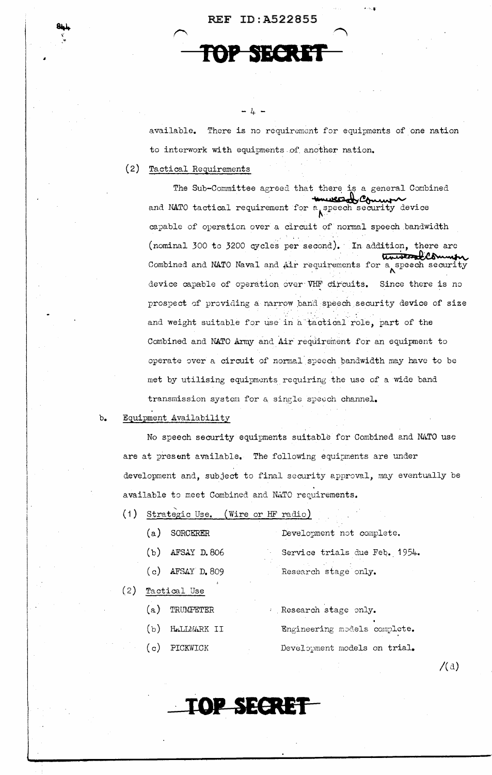TOP SECRE

 $- 4 -$ 

available. There is no requirement for equipments of one nation to interwork with equipments of another nation.

 $\ldots$ 

(2) Tactical Requirements

The Sub-Committee agreed that there is a general Combined and NATO tactical requirement for a speech security device<br>capable of operation over a circuit of normal speech bandwidth<br>(nominal 300 to 3200 cycles per second). In addition, there are<br>Combined and NATO Naval and Air requ capable of operation over a circuit of normal speech bandwidth (nominal 300 to 3200 cycles per second). In addition, there are Combined and NATO Naval and Air requirements for a speech security device capable of operation over VHF circuits. Since there is no prospect of providing a narrow band speech security device of size and weight suitable for use in a tactical role, part of the Combined and NATO Army and Air requirement for an equipment to operate over a circuit of normal speech bandwidth may have to be met by utilising equipments requiring the use of a wide band transmission system for a. single speech channel.

## b. Equipment Availability

No speech security equipments suitable for Combined and NATO use are at present available. The following equipments are under development and, subject to final security approval, may eventually be available to meet Combined and NATO requirements.

(1) Strategic Use. (Wire or *HF* radio)

| SORCERER                                | Development not complete.     |
|-----------------------------------------|-------------------------------|
| AFSAY D.806                             | Service trials due Feb. 1954. |
| AFSAY D. 809                            | Research stage only.          |
| ▄ <del>▙▗</del> ▘▃▃▝▎▕ <sup>▜</sup> ▔▃▃ |                               |

(2) Tactical Use

 $(a)$ 

 $(b)$ 

 $\langle c \rangle$ 

- (a) TRUMPETER
- $(b)$  HALLMARK II
- ( c) PICKWICK

. Research stage only. Engineering models complete. Development models on trial.

 $/(\mathrm{d})$ 

**·TOP SECRET**